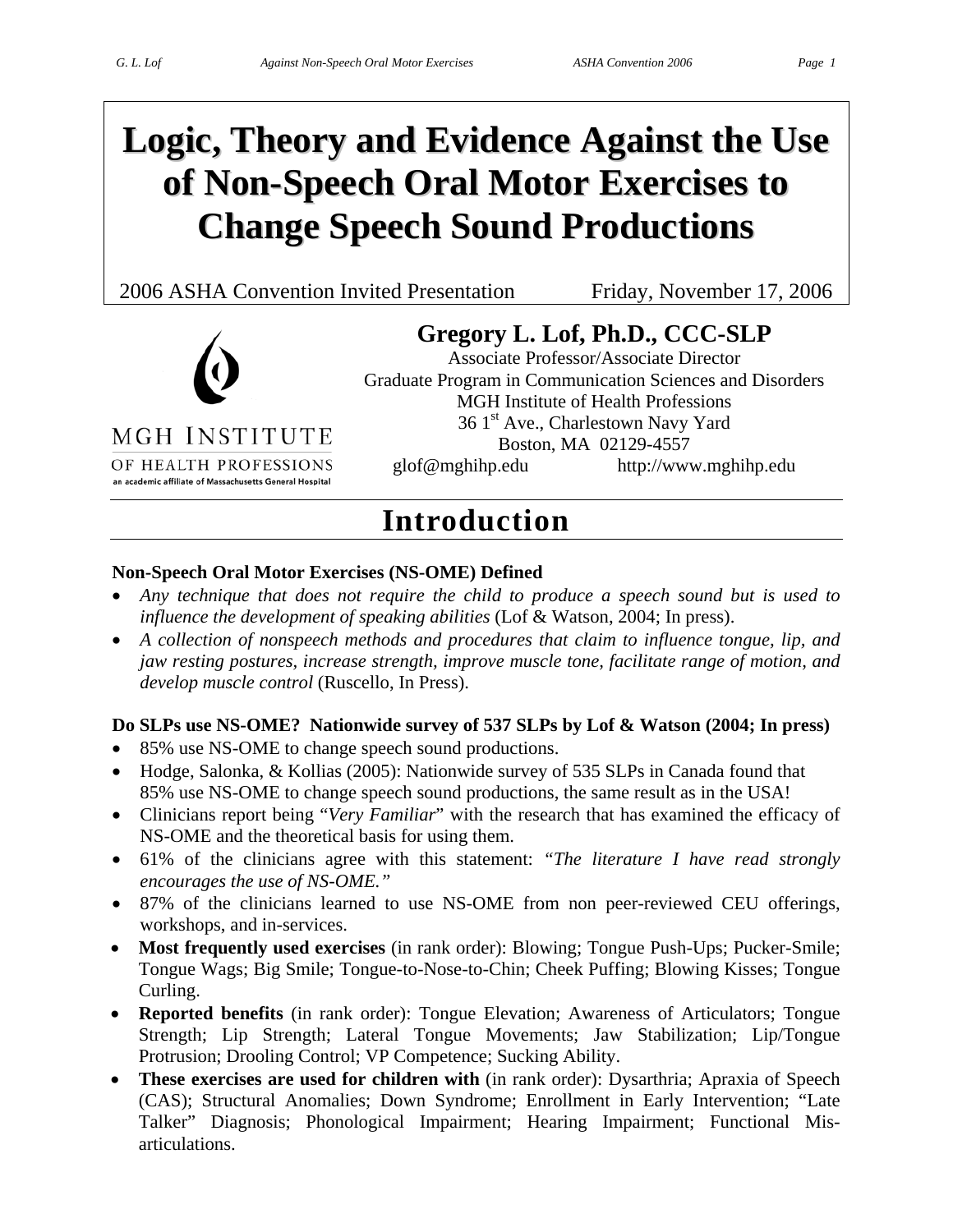# **Logic, Theory and Evidence Against the Use of Non-Speech Oral Motor Exercises to Change Speech Sound Productions**

2006 ASHA Convention Invited Presentation Friday, November 17, 2006



### **Gregory L. Lof, Ph.D., CCC-SLP**

Associate Professor/Associate Director Graduate Program in Communication Sciences and Disorders MGH Institute of Health Professions 36 1<sup>st</sup> Ave., Charlestown Navy Yard Boston, MA 02129-4557 glof@mghihp.edu http://www.mghihp.edu

MGH INSTITUTE

OF HEALTH PROFESSIONS an academic affiliate of Massachusetts General Hospital

### **Introduction**

#### **Non-Speech Oral Motor Exercises (NS-OME) Defined**

- *Any technique that does not require the child to produce a speech sound but is used to influence the development of speaking abilities* (Lof & Watson, 2004; In press).
- *A collection of nonspeech methods and procedures that claim to influence tongue, lip, and jaw resting postures, increase strength, improve muscle tone, facilitate range of motion, and develop muscle control* (Ruscello, In Press).

#### **Do SLPs use NS-OME? Nationwide survey of 537 SLPs by Lof & Watson (2004; In press)**

- 85% use NS-OME to change speech sound productions.
- Hodge, Salonka, & Kollias (2005): Nationwide survey of 535 SLPs in Canada found that 85% use NS-OME to change speech sound productions, the same result as in the USA!
- Clinicians report being "*Very Familiar*" with the research that has examined the efficacy of NS-OME and the theoretical basis for using them.
- 61% of the clinicians agree with this statement: *"The literature I have read strongly encourages the use of NS-OME."*
- 87% of the clinicians learned to use NS-OME from non peer-reviewed CEU offerings, workshops, and in-services.
- **Most frequently used exercises** (in rank order): Blowing; Tongue Push-Ups; Pucker-Smile; Tongue Wags; Big Smile; Tongue-to-Nose-to-Chin; Cheek Puffing; Blowing Kisses; Tongue Curling.
- **Reported benefits** (in rank order): Tongue Elevation; Awareness of Articulators; Tongue Strength; Lip Strength; Lateral Tongue Movements; Jaw Stabilization; Lip/Tongue Protrusion; Drooling Control; VP Competence; Sucking Ability.
- **These exercises are used for children with** (in rank order): Dysarthria; Apraxia of Speech (CAS); Structural Anomalies; Down Syndrome; Enrollment in Early Intervention; "Late Talker" Diagnosis; Phonological Impairment; Hearing Impairment; Functional Misarticulations.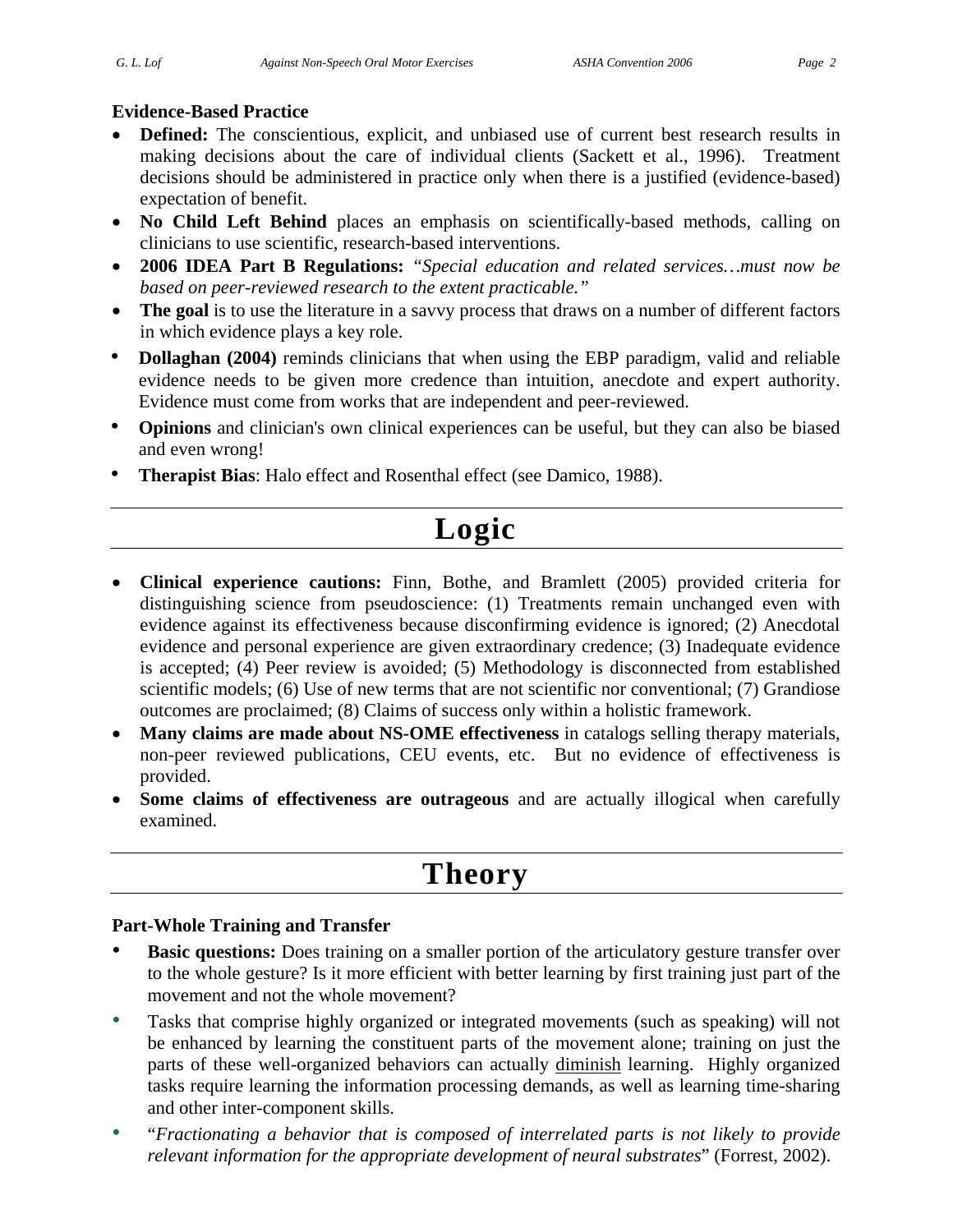#### **Evidence-Based Practice**

- **Defined:** The conscientious, explicit, and unbiased use of current best research results in making decisions about the care of individual clients (Sackett et al., 1996). Treatment decisions should be administered in practice only when there is a justified (evidence-based) expectation of benefit.
- **No Child Left Behind** places an emphasis on scientifically-based methods, calling on clinicians to use scientific, research-based interventions.
- **2006 IDEA Part B Regulations:** *"Special education and related services…must now be based on peer-reviewed research to the extent practicable."*
- **The goal** is to use the literature in a savvy process that draws on a number of different factors in which evidence plays a key role.
- **Dollaghan** (2004) reminds clinicians that when using the EBP paradigm, valid and reliable evidence needs to be given more credence than intuition, anecdote and expert authority. Evidence must come from works that are independent and peer-reviewed.
- **Opinions** and clinician's own clinical experiences can be useful, but they can also be biased and even wrong!
- **Therapist Bias**: Halo effect and Rosenthal effect (see Damico, 1988).

# **Logic**

- **Clinical experience cautions:** Finn, Bothe, and Bramlett (2005) provided criteria for distinguishing science from pseudoscience: (1) Treatments remain unchanged even with evidence against its effectiveness because disconfirming evidence is ignored; (2) Anecdotal evidence and personal experience are given extraordinary credence; (3) Inadequate evidence is accepted; (4) Peer review is avoided; (5) Methodology is disconnected from established scientific models; (6) Use of new terms that are not scientific nor conventional; (7) Grandiose outcomes are proclaimed; (8) Claims of success only within a holistic framework.
- **Many claims are made about NS-OME effectiveness** in catalogs selling therapy materials, non-peer reviewed publications, CEU events, etc. But no evidence of effectiveness is provided.
- **Some claims of effectiveness are outrageous** and are actually illogical when carefully examined.

# **Theory**

#### **Part-Whole Training and Transfer**

- **Basic questions:** Does training on a smaller portion of the articulatory gesture transfer over to the whole gesture? Is it more efficient with better learning by first training just part of the movement and not the whole movement?
- Tasks that comprise highly organized or integrated movements (such as speaking) will not be enhanced by learning the constituent parts of the movement alone; training on just the parts of these well-organized behaviors can actually diminish learning. Highly organized tasks require learning the information processing demands, as well as learning time-sharing and other inter-component skills.
- "*Fractionating a behavior that is composed of interrelated parts is not likely to provide relevant information for the appropriate development of neural substrates*" (Forrest, 2002).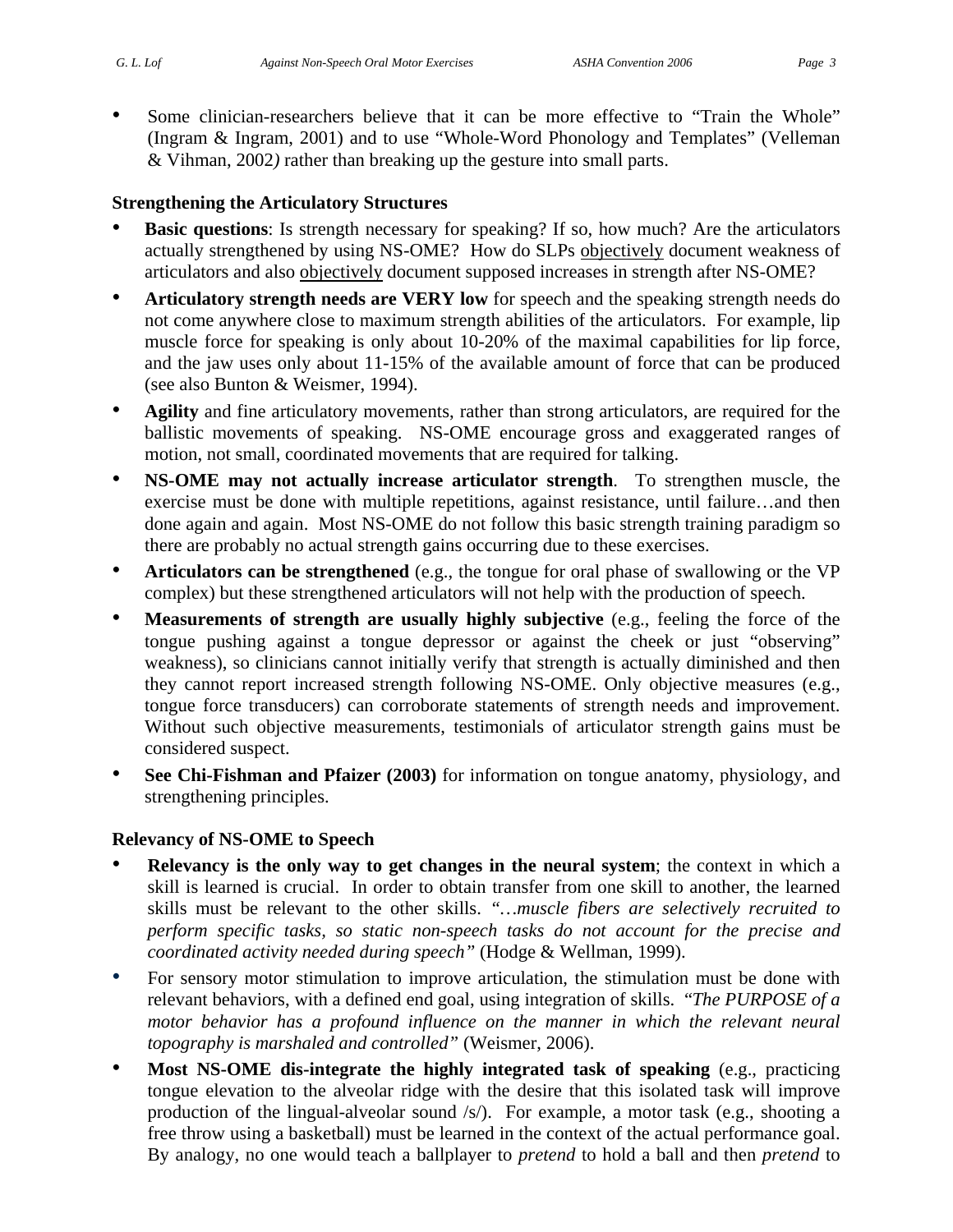Some clinician-researchers believe that it can be more effective to "Train the Whole" (Ingram & Ingram, 2001) and to use "Whole-Word Phonology and Templates" (Velleman & Vihman, 2002*)* rather than breaking up the gesture into small parts.

#### **Strengthening the Articulatory Structures**

- **Basic questions:** Is strength necessary for speaking? If so, how much? Are the articulators actually strengthened by using NS-OME? How do SLPs objectively document weakness of articulators and also objectively document supposed increases in strength after NS-OME?
- **Articulatory strength needs are VERY low** for speech and the speaking strength needs do not come anywhere close to maximum strength abilities of the articulators. For example, lip muscle force for speaking is only about 10-20% of the maximal capabilities for lip force, and the jaw uses only about 11-15% of the available amount of force that can be produced (see also Bunton & Weismer, 1994).
- **Agility** and fine articulatory movements, rather than strong articulators, are required for the ballistic movements of speaking. NS-OME encourage gross and exaggerated ranges of motion, not small, coordinated movements that are required for talking.
- **NS-OME may not actually increase articulator strength**. To strengthen muscle, the exercise must be done with multiple repetitions, against resistance, until failure…and then done again and again. Most NS-OME do not follow this basic strength training paradigm so there are probably no actual strength gains occurring due to these exercises.
- **Articulators can be strengthened** (e.g., the tongue for oral phase of swallowing or the VP complex) but these strengthened articulators will not help with the production of speech.
- **Measurements of strength are usually highly subjective** (e.g., feeling the force of the tongue pushing against a tongue depressor or against the cheek or just "observing" weakness), so clinicians cannot initially verify that strength is actually diminished and then they cannot report increased strength following NS-OME. Only objective measures (e.g., tongue force transducers) can corroborate statements of strength needs and improvement. Without such objective measurements, testimonials of articulator strength gains must be considered suspect.
- **See Chi-Fishman and Pfaizer (2003)** for information on tongue anatomy, physiology, and strengthening principles.

#### **Relevancy of NS-OME to Speech**

- **Relevancy is the only way to get changes in the neural system**; the context in which a skill is learned is crucial. In order to obtain transfer from one skill to another, the learned skills must be relevant to the other skills. *"…muscle fibers are selectively recruited to perform specific tasks, so static non-speech tasks do not account for the precise and coordinated activity needed during speech"* (Hodge & Wellman, 1999).
- For sensory motor stimulation to improve articulation, the stimulation must be done with relevant behaviors, with a defined end goal, using integration of skills. "*The PURPOSE of a motor behavior has a profound influence on the manner in which the relevant neural topography is marshaled and controlled"* (Weismer, 2006).
- **Most NS-OME dis-integrate the highly integrated task of speaking** (e.g., practicing tongue elevation to the alveolar ridge with the desire that this isolated task will improve production of the lingual-alveolar sound /s/). For example, a motor task (e.g., shooting a free throw using a basketball) must be learned in the context of the actual performance goal. By analogy, no one would teach a ballplayer to *pretend* to hold a ball and then *pretend* to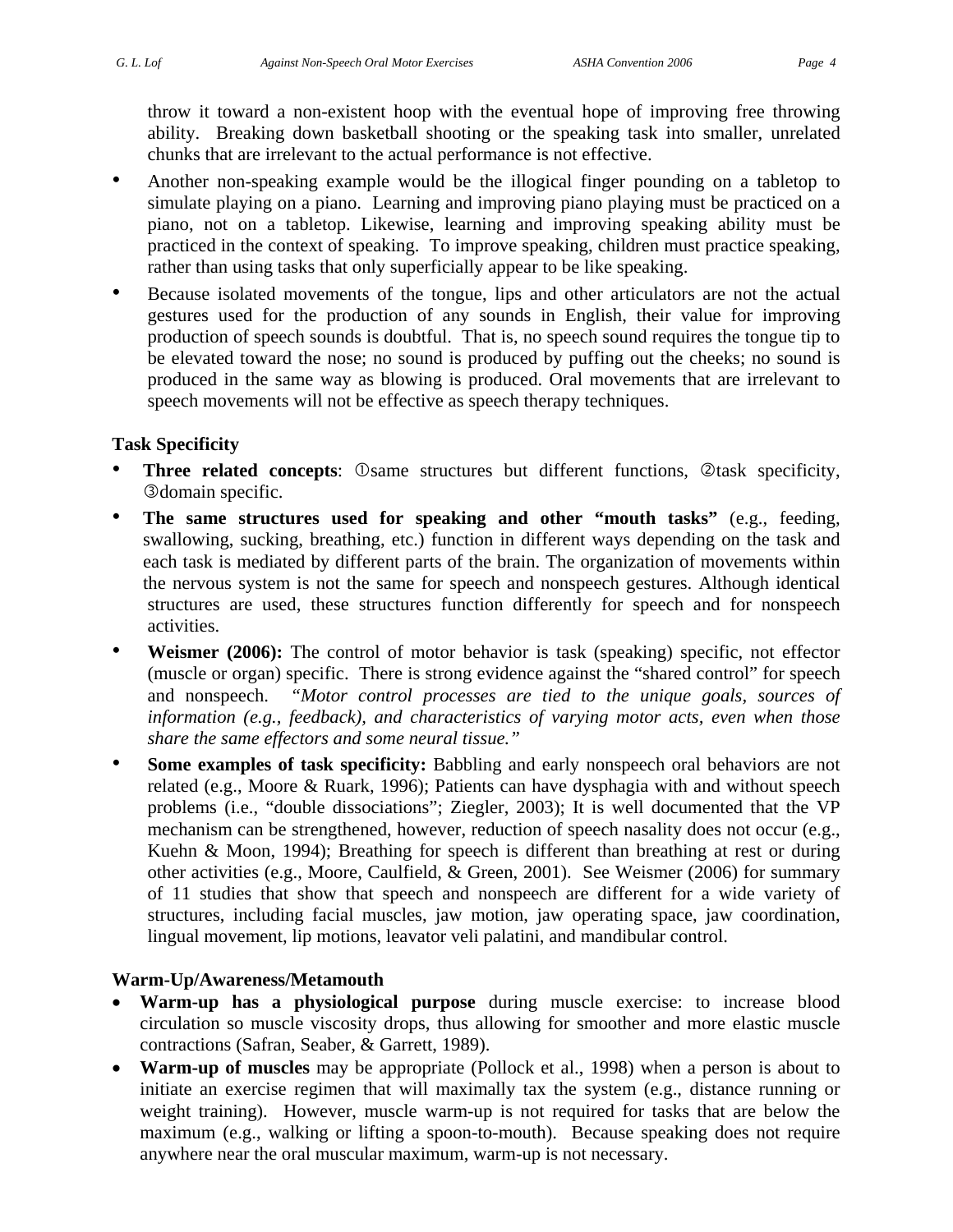throw it toward a non-existent hoop with the eventual hope of improving free throwing ability. Breaking down basketball shooting or the speaking task into smaller, unrelated chunks that are irrelevant to the actual performance is not effective.

- Another non-speaking example would be the illogical finger pounding on a tabletop to simulate playing on a piano. Learning and improving piano playing must be practiced on a piano, not on a tabletop. Likewise, learning and improving speaking ability must be practiced in the context of speaking. To improve speaking, children must practice speaking, rather than using tasks that only superficially appear to be like speaking.
- Because isolated movements of the tongue, lips and other articulators are not the actual gestures used for the production of any sounds in English, their value for improving production of speech sounds is doubtful. That is, no speech sound requires the tongue tip to be elevated toward the nose; no sound is produced by puffing out the cheeks; no sound is produced in the same way as blowing is produced. Oral movements that are irrelevant to speech movements will not be effective as speech therapy techniques.

#### **Task Specificity**

- **Three related concepts**:  $\circledcirc$  same structures but different functions,  $\circledcirc$  task specificity, **3** domain specific.
- **The same structures used for speaking and other "mouth tasks"** (e.g., feeding, swallowing, sucking, breathing, etc.) function in different ways depending on the task and each task is mediated by different parts of the brain. The organization of movements within the nervous system is not the same for speech and nonspeech gestures. Although identical structures are used, these structures function differently for speech and for nonspeech activities.
- **Weismer (2006):** The control of motor behavior is task (speaking) specific, not effector (muscle or organ) specific. There is strong evidence against the "shared control" for speech and nonspeech. *"Motor control processes are tied to the unique goals, sources of information (e.g., feedback), and characteristics of varying motor acts, even when those share the same effectors and some neural tissue."*
- **Some examples of task specificity:** Babbling and early nonspeech oral behaviors are not related (e.g., Moore & Ruark, 1996); Patients can have dysphagia with and without speech problems (i.e., "double dissociations"; Ziegler, 2003); It is well documented that the VP mechanism can be strengthened, however, reduction of speech nasality does not occur (e.g., Kuehn & Moon, 1994); Breathing for speech is different than breathing at rest or during other activities (e.g., Moore, Caulfield, & Green, 2001). See Weismer (2006) for summary of 11 studies that show that speech and nonspeech are different for a wide variety of structures, including facial muscles, jaw motion, jaw operating space, jaw coordination, lingual movement, lip motions, leavator veli palatini, and mandibular control.

#### **Warm-Up/Awareness/Metamouth**

- **Warm-up has a physiological purpose** during muscle exercise: to increase blood circulation so muscle viscosity drops, thus allowing for smoother and more elastic muscle contractions (Safran, Seaber, & Garrett, 1989).
- **Warm-up of muscles** may be appropriate (Pollock et al., 1998) when a person is about to initiate an exercise regimen that will maximally tax the system (e.g., distance running or weight training). However, muscle warm-up is not required for tasks that are below the maximum (e.g., walking or lifting a spoon-to-mouth). Because speaking does not require anywhere near the oral muscular maximum, warm-up is not necessary.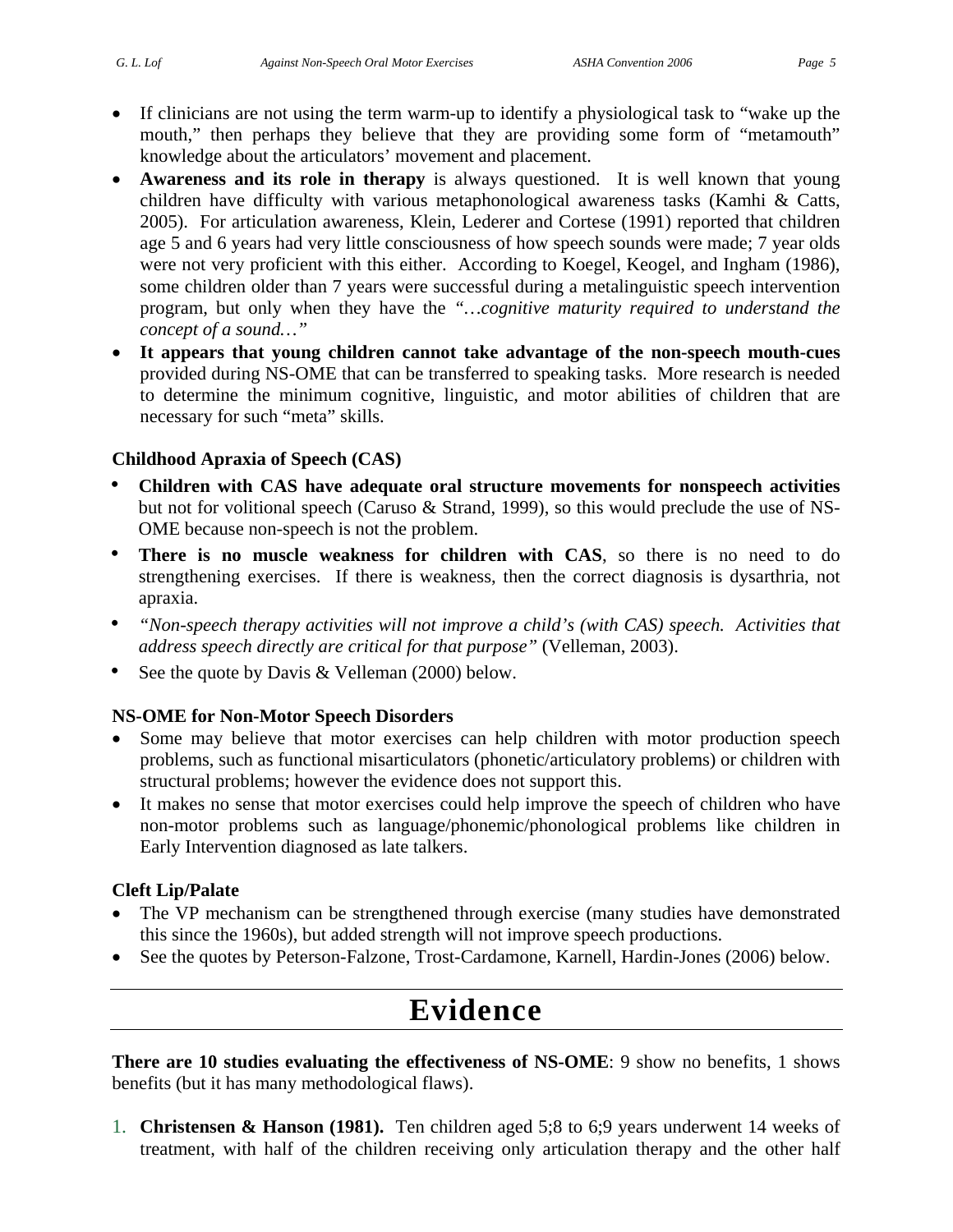- If clinicians are not using the term warm-up to identify a physiological task to "wake up the mouth," then perhaps they believe that they are providing some form of "metamouth" knowledge about the articulators' movement and placement.
- **Awareness and its role in therapy** is always questioned. It is well known that young children have difficulty with various metaphonological awareness tasks (Kamhi & Catts, 2005). For articulation awareness, Klein, Lederer and Cortese (1991) reported that children age 5 and 6 years had very little consciousness of how speech sounds were made; 7 year olds were not very proficient with this either. According to Koegel, Keogel, and Ingham (1986), some children older than 7 years were successful during a metalinguistic speech intervention program, but only when they have the *"…cognitive maturity required to understand the concept of a sound…"*
- **It appears that young children cannot take advantage of the non-speech mouth-cues** provided during NS-OME that can be transferred to speaking tasks. More research is needed to determine the minimum cognitive, linguistic, and motor abilities of children that are necessary for such "meta" skills.

#### **Childhood Apraxia of Speech (CAS)**

- **Children with CAS have adequate oral structure movements for nonspeech activities**  but not for volitional speech (Caruso & Strand, 1999), so this would preclude the use of NS-OME because non-speech is not the problem.
- **There is no muscle weakness for children with CAS**, so there is no need to do strengthening exercises. If there is weakness, then the correct diagnosis is dysarthria, not apraxia.
- *"Non-speech therapy activities will not improve a child's (with CAS) speech. Activities that address speech directly are critical for that purpose"* (Velleman, 2003).
- See the quote by Davis & Velleman (2000) below.

#### **NS-OME for Non-Motor Speech Disorders**

- Some may believe that motor exercises can help children with motor production speech problems, such as functional misarticulators (phonetic/articulatory problems) or children with structural problems; however the evidence does not support this.
- It makes no sense that motor exercises could help improve the speech of children who have non-motor problems such as language/phonemic/phonological problems like children in Early Intervention diagnosed as late talkers.

#### **Cleft Lip/Palate**

- The VP mechanism can be strengthened through exercise (many studies have demonstrated this since the 1960s), but added strength will not improve speech productions.
- See the quotes by Peterson-Falzone, Trost-Cardamone, Karnell, Hardin-Jones (2006) below.

## **Evidence**

**There are 10 studies evaluating the effectiveness of NS-OME**: 9 show no benefits, 1 shows benefits (but it has many methodological flaws).

1. **Christensen & Hanson (1981).** Ten children aged 5;8 to 6;9 years underwent 14 weeks of treatment, with half of the children receiving only articulation therapy and the other half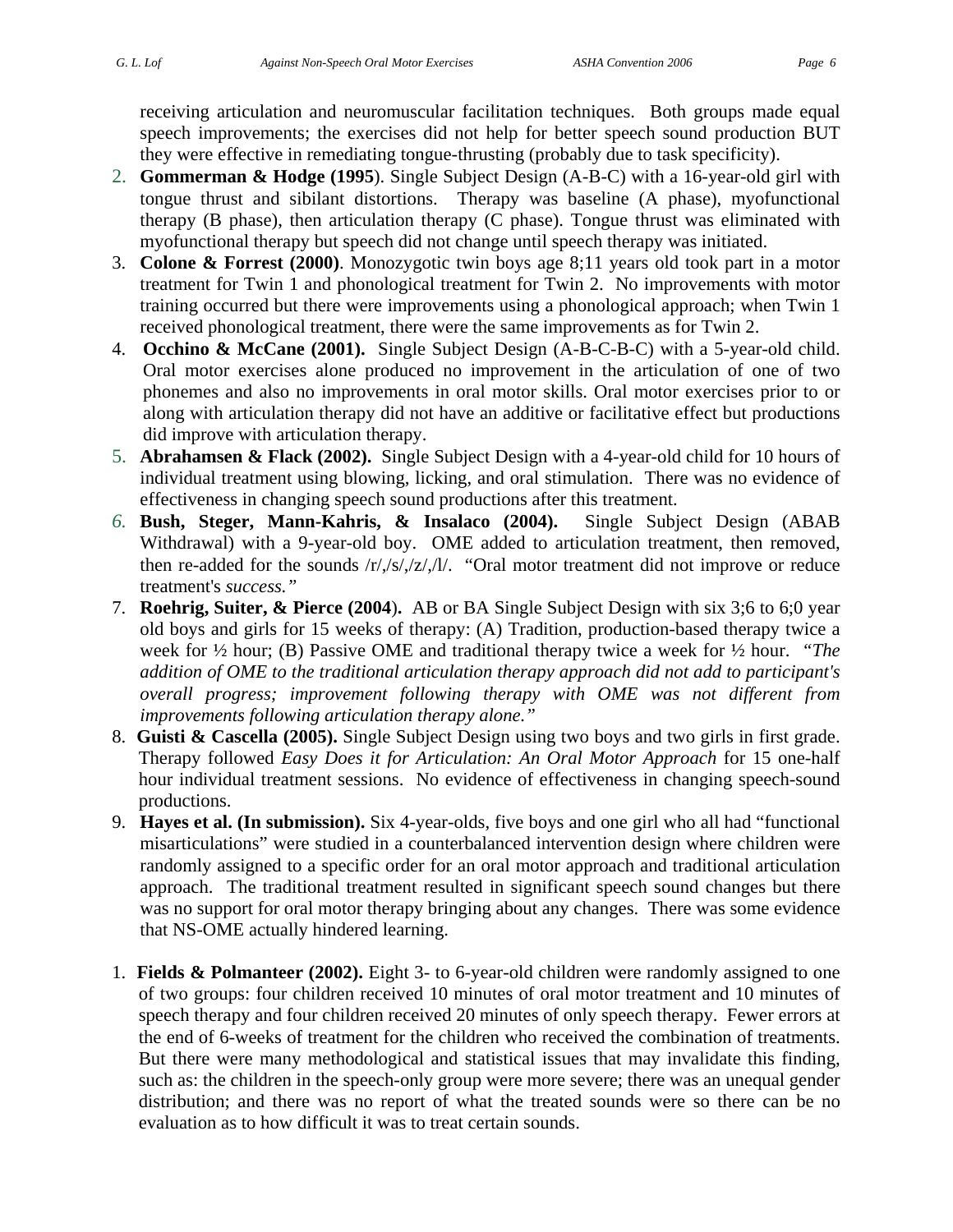receiving articulation and neuromuscular facilitation techniques. Both groups made equal speech improvements; the exercises did not help for better speech sound production BUT they were effective in remediating tongue-thrusting (probably due to task specificity).

- 2. **Gommerman & Hodge (1995**). Single Subject Design (A-B-C) with a 16-year-old girl with tongue thrust and sibilant distortions. Therapy was baseline (A phase), myofunctional therapy (B phase), then articulation therapy (C phase). Tongue thrust was eliminated with myofunctional therapy but speech did not change until speech therapy was initiated.
- 3. **Colone & Forrest (2000)**. Monozygotic twin boys age 8;11 years old took part in a motor treatment for Twin 1 and phonological treatment for Twin 2. No improvements with motor training occurred but there were improvements using a phonological approach; when Twin 1 received phonological treatment, there were the same improvements as for Twin 2.
- 4. **Occhino & McCane (2001).** Single Subject Design (A-B-C-B-C) with a 5-year-old child. Oral motor exercises alone produced no improvement in the articulation of one of two phonemes and also no improvements in oral motor skills. Oral motor exercises prior to or along with articulation therapy did not have an additive or facilitative effect but productions did improve with articulation therapy.
- 5. **Abrahamsen & Flack (2002).** Single Subject Design with a 4-year-old child for 10 hours of individual treatment using blowing, licking, and oral stimulation. There was no evidence of effectiveness in changing speech sound productions after this treatment.
- *6.* **Bush, Steger, Mann-Kahris, & Insalaco (2004).** Single Subject Design (ABAB Withdrawal) with a 9-year-old boy. OME added to articulation treatment, then removed, then re-added for the sounds  $\frac{r}{\sqrt{s}}$ ,  $\frac{z}{\sqrt{l}}$ . "Oral motor treatment did not improve or reduce treatment's *success."*
- 7. **Roehrig, Suiter, & Pierce (2004**)**.** AB or BA Single Subject Design with six 3;6 to 6;0 year old boys and girls for 15 weeks of therapy: (A) Tradition, production-based therapy twice a week for ½ hour; (B) Passive OME and traditional therapy twice a week for ½ hour. *"The addition of OME to the traditional articulation therapy approach did not add to participant's overall progress; improvement following therapy with OME was not different from improvements following articulation therapy alone."*
- 8. **Guisti & Cascella (2005).** Single Subject Design using two boys and two girls in first grade. Therapy followed *Easy Does it for Articulation: An Oral Motor Approach* for 15 one-half hour individual treatment sessions. No evidence of effectiveness in changing speech-sound productions.
- 9. **Hayes et al. (In submission).** Six 4-year-olds, five boys and one girl who all had "functional misarticulations" were studied in a counterbalanced intervention design where children were randomly assigned to a specific order for an oral motor approach and traditional articulation approach. The traditional treatment resulted in significant speech sound changes but there was no support for oral motor therapy bringing about any changes. There was some evidence that NS-OME actually hindered learning.
- 1. **Fields & Polmanteer (2002).** Eight 3- to 6-year-old children were randomly assigned to one of two groups: four children received 10 minutes of oral motor treatment and 10 minutes of speech therapy and four children received 20 minutes of only speech therapy. Fewer errors at the end of 6-weeks of treatment for the children who received the combination of treatments. But there were many methodological and statistical issues that may invalidate this finding, such as: the children in the speech-only group were more severe; there was an unequal gender distribution; and there was no report of what the treated sounds were so there can be no evaluation as to how difficult it was to treat certain sounds.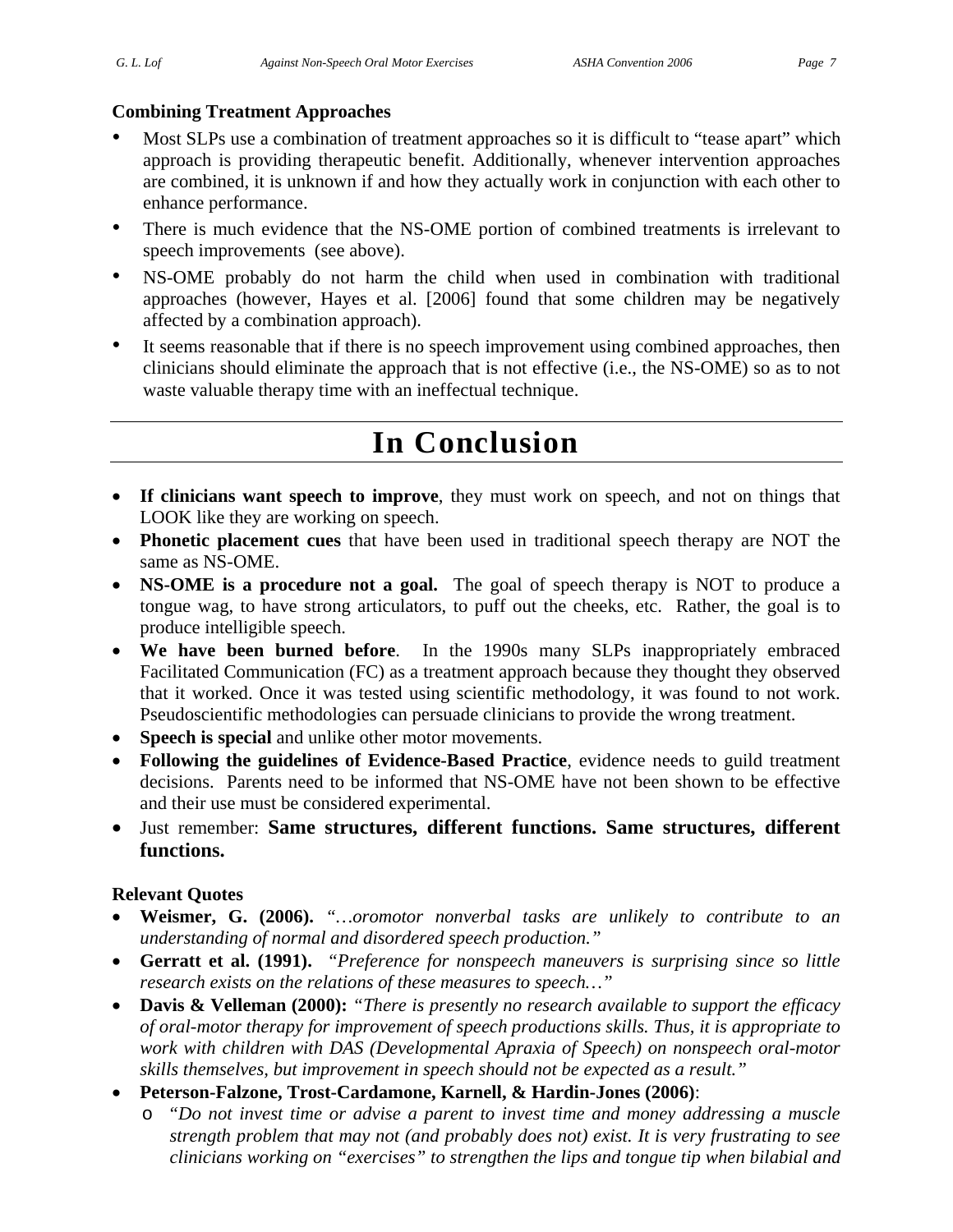#### **Combining Treatment Approaches**

- Most SLPs use a combination of treatment approaches so it is difficult to "tease apart" which approach is providing therapeutic benefit. Additionally, whenever intervention approaches are combined, it is unknown if and how they actually work in conjunction with each other to enhance performance.
- There is much evidence that the NS-OME portion of combined treatments is irrelevant to speech improvements (see above).
- NS-OME probably do not harm the child when used in combination with traditional approaches (however, Hayes et al. [2006] found that some children may be negatively affected by a combination approach).
- It seems reasonable that if there is no speech improvement using combined approaches, then clinicians should eliminate the approach that is not effective (i.e., the NS-OME) so as to not waste valuable therapy time with an ineffectual technique.

# **In Conclusion**

- **If clinicians want speech to improve**, they must work on speech, and not on things that LOOK like they are working on speech.
- **Phonetic placement cues** that have been used in traditional speech therapy are NOT the same as NS-OME.
- **NS-OME** is a procedure not a goal. The goal of speech therapy is NOT to produce a tongue wag, to have strong articulators, to puff out the cheeks, etc. Rather, the goal is to produce intelligible speech.
- **We have been burned before**. In the 1990s many SLPs inappropriately embraced Facilitated Communication (FC) as a treatment approach because they thought they observed that it worked. Once it was tested using scientific methodology, it was found to not work. Pseudoscientific methodologies can persuade clinicians to provide the wrong treatment.
- **Speech is special** and unlike other motor movements.
- **Following the guidelines of Evidence-Based Practice**, evidence needs to guild treatment decisions. Parents need to be informed that NS-OME have not been shown to be effective and their use must be considered experimental.
- Just remember: **Same structures, different functions. Same structures, different functions.**

#### **Relevant Quotes**

- **Weismer, G. (2006).** *"…oromotor nonverbal tasks are unlikely to contribute to an understanding of normal and disordered speech production."*
- **Gerratt et al. (1991).** *"Preference for nonspeech maneuvers is surprising since so little research exists on the relations of these measures to speech…"*
- **Davis & Velleman (2000):** *"There is presently no research available to support the efficacy of oral-motor therapy for improvement of speech productions skills. Thus, it is appropriate to work with children with DAS (Developmental Apraxia of Speech) on nonspeech oral-motor skills themselves, but improvement in speech should not be expected as a result."*
- **Peterson-Falzone, Trost-Cardamone, Karnell, & Hardin-Jones (2006)**:
	- o *"Do not invest time or advise a parent to invest time and money addressing a muscle strength problem that may not (and probably does not) exist. It is very frustrating to see clinicians working on "exercises" to strengthen the lips and tongue tip when bilabial and*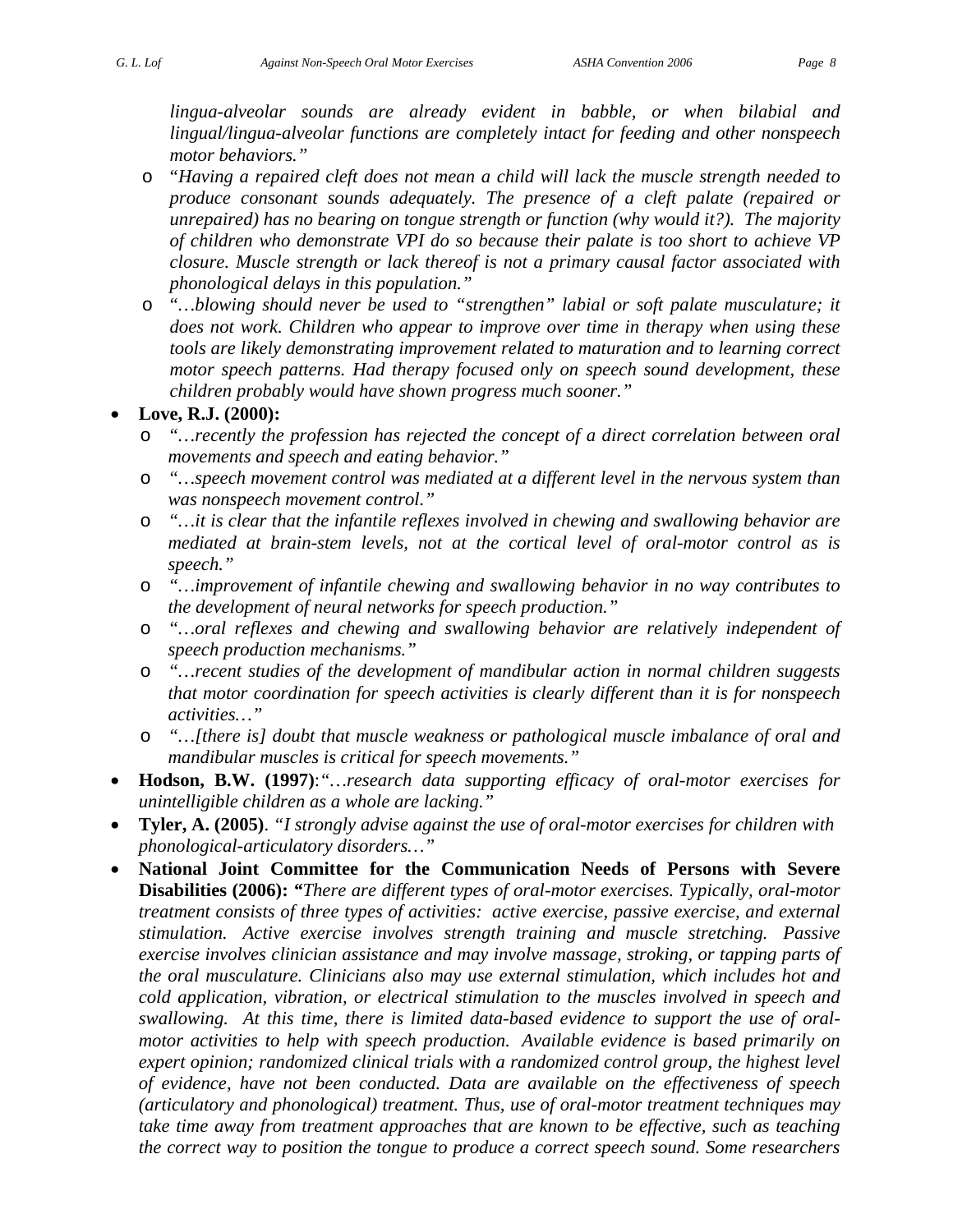- o *"Having a repaired cleft does not mean a child will lack the muscle strength needed to produce consonant sounds adequately. The presence of a cleft palate (repaired or unrepaired) has no bearing on tongue strength or function (why would it?). The majority of children who demonstrate VPI do so because their palate is too short to achieve VP closure. Muscle strength or lack thereof is not a primary causal factor associated with phonological delays in this population."*
- o *"…blowing should never be used to "strengthen" labial or soft palate musculature; it does not work. Children who appear to improve over time in therapy when using these tools are likely demonstrating improvement related to maturation and to learning correct motor speech patterns. Had therapy focused only on speech sound development, these children probably would have shown progress much sooner."*

#### • **Love, R.J. (2000):**

- o *"…recently the profession has rejected the concept of a direct correlation between oral movements and speech and eating behavior."*
- o *"…speech movement control was mediated at a different level in the nervous system than was nonspeech movement control."*
- o *"…it is clear that the infantile reflexes involved in chewing and swallowing behavior are mediated at brain-stem levels, not at the cortical level of oral-motor control as is speech."*
- o *"…improvement of infantile chewing and swallowing behavior in no way contributes to the development of neural networks for speech production."*
- o *"…oral reflexes and chewing and swallowing behavior are relatively independent of speech production mechanisms."*
- o *"…recent studies of the development of mandibular action in normal children suggests that motor coordination for speech activities is clearly different than it is for nonspeech activities…"*
- o *"…[there is] doubt that muscle weakness or pathological muscle imbalance of oral and mandibular muscles is critical for speech movements."*
- **Hodson, B.W. (1997)**:*"…research data supporting efficacy of oral-motor exercises for unintelligible children as a whole are lacking."*
- **Tyler, A. (2005)**. *"I strongly advise against the use of oral-motor exercises for children with phonological-articulatory disorders…"*
- **National Joint Committee for the Communication Needs of Persons with Severe Disabilities (2006):** *"There are different types of oral-motor exercises. Typically, oral-motor treatment consists of three types of activities: active exercise, passive exercise, and external stimulation. Active exercise involves strength training and muscle stretching. Passive exercise involves clinician assistance and may involve massage, stroking, or tapping parts of the oral musculature. Clinicians also may use external stimulation, which includes hot and cold application, vibration, or electrical stimulation to the muscles involved in speech and swallowing. At this time, there is limited data-based evidence to support the use of oralmotor activities to help with speech production. Available evidence is based primarily on expert opinion; randomized clinical trials with a randomized control group, the highest level of evidence, have not been conducted. Data are available on the effectiveness of speech (articulatory and phonological) treatment. Thus, use of oral-motor treatment techniques may take time away from treatment approaches that are known to be effective, such as teaching the correct way to position the tongue to produce a correct speech sound. Some researchers*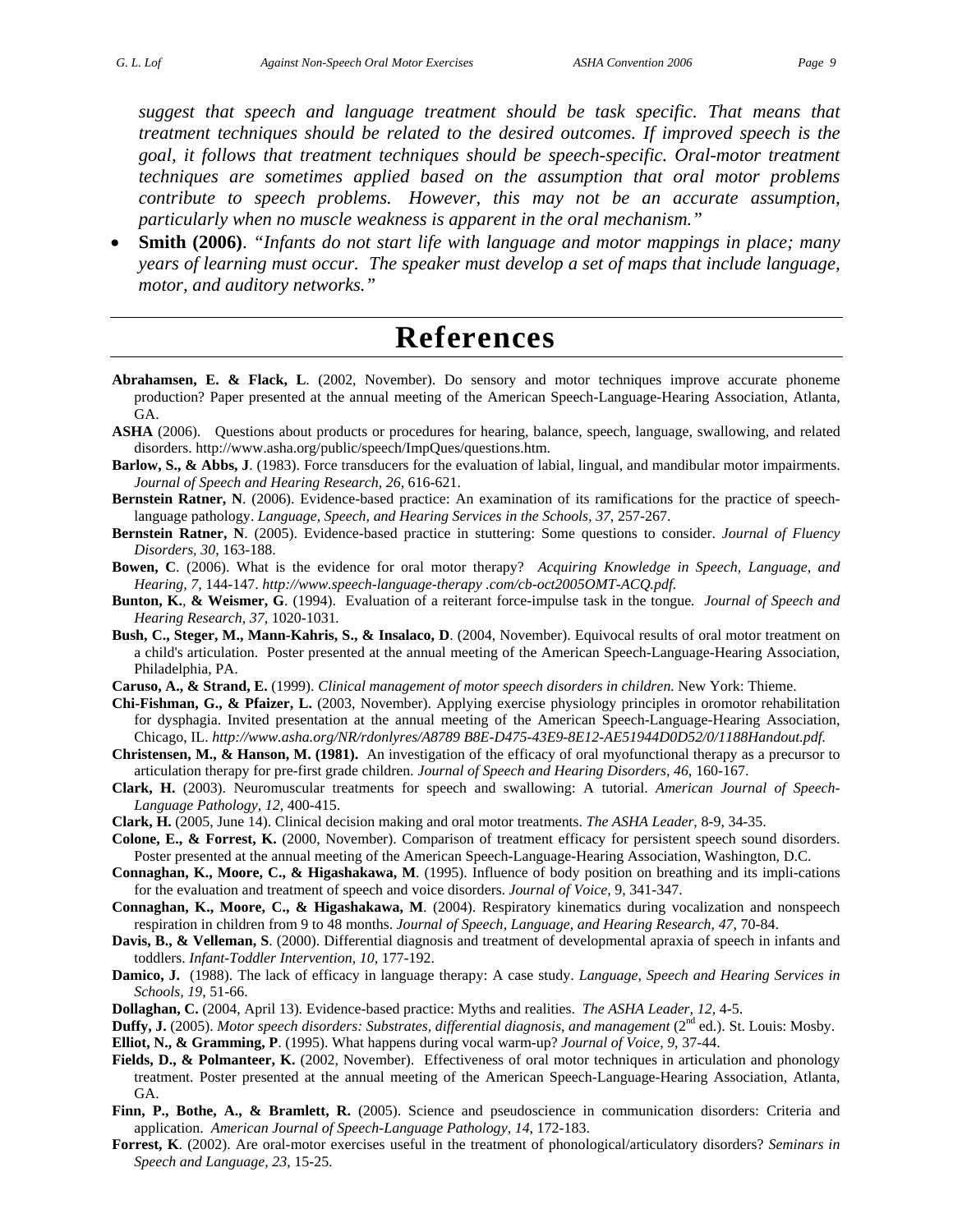*suggest that speech and language treatment should be task specific. That means that treatment techniques should be related to the desired outcomes. If improved speech is the goal, it follows that treatment techniques should be speech-specific. Oral-motor treatment techniques are sometimes applied based on the assumption that oral motor problems contribute to speech problems. However, this may not be an accurate assumption, particularly when no muscle weakness is apparent in the oral mechanism."*

• **Smith (2006)**. *"Infants do not start life with language and motor mappings in place; many years of learning must occur. The speaker must develop a set of maps that include language, motor, and auditory networks."*

### **References**

- **Abrahamsen, E. & Flack, L**. (2002, November). Do sensory and motor techniques improve accurate phoneme production? Paper presented at the annual meeting of the American Speech-Language-Hearing Association, Atlanta, GA.
- **ASHA** (2006).Questions about products or procedures for hearing, balance, speech, language, swallowing, and related disorders. http://www.asha.org/public/speech/ImpQues/questions.htm.
- **Barlow, S., & Abbs, J**. (1983). Force transducers for the evaluation of labial, lingual, and mandibular motor impairments. *Journal of Speech and Hearing Research, 26,* 616-621.
- **Bernstein Ratner, N**. (2006). Evidence-based practice: An examination of its ramifications for the practice of speechlanguage pathology. *Language, Speech, and Hearing Services in the Schools, 37*, 257-267.
- **Bernstein Ratner, N**. (2005). Evidence-based practice in stuttering: Some questions to consider. *Journal of Fluency Disorders, 30*, 163-188.
- **Bowen, C**. (2006). What is the evidence for oral motor therapy? *Acquiring Knowledge in Speech, Language, and Hearing, 7,* 144-147. *http://www.speech-language-therapy .com/cb-oct2005OMT-ACQ.pdf.*
- **Bunton, K.***,* **& Weismer, G**. (1994).Evaluation of a reiterant force-impulse task in the tongue*. Journal of Speech and Hearing Research, 37,* 1020-1031*.*
- **Bush, C., Steger, M., Mann-Kahris, S., & Insalaco, D**. (2004, November). Equivocal results of oral motor treatment on a child's articulation. Poster presented at the annual meeting of the American Speech-Language-Hearing Association, Philadelphia, PA.
- **Caruso, A., & Strand, E.** (1999). *Clinical management of motor speech disorders in children.* New York: Thieme.
- **Chi-Fishman, G., & Pfaizer, L.** (2003, November). Applying exercise physiology principles in oromotor rehabilitation for dysphagia. Invited presentation at the annual meeting of the American Speech-Language-Hearing Association, Chicago, IL. *http://www.asha.org/NR/rdonlyres/A8789 B8E-D475-43E9-8E12-AE51944D0D52/0/1188Handout.pdf.*
- **Christensen, M., & Hanson, M. (1981).** An investigation of the efficacy of oral myofunctional therapy as a precursor to articulation therapy for pre-first grade children*. Journal of Speech and Hearing Disorders, 46*, 160-167.
- **Clark, H.** (2003). Neuromuscular treatments for speech and swallowing: A tutorial. *American Journal of Speech-Language Pathology, 12*, 400-415.
- **Clark, H.** (2005, June 14). Clinical decision making and oral motor treatments. *The ASHA Leader*, 8-9, 34-35.
- **Colone, E., & Forrest, K.** (2000, November). Comparison of treatment efficacy for persistent speech sound disorders. Poster presented at the annual meeting of the American Speech-Language-Hearing Association, Washington, D.C.
- **Connaghan, K., Moore, C., & Higashakawa, M**. (1995). Influence of body position on breathing and its impli-cations for the evaluation and treatment of speech and voice disorders. *Journal of Voice,* 9, 341-347.
- **Connaghan, K., Moore, C., & Higashakawa, M**. (2004). Respiratory kinematics during vocalization and nonspeech respiration in children from 9 to 48 months. *Journal of Speech, Language, and Hearing Research, 47*, 70-84.
- **Davis, B., & Velleman, S**. (2000). Differential diagnosis and treatment of developmental apraxia of speech in infants and toddlers. *Infant-Toddler Intervention, 10,* 177-192.
- **Damico, J.** (1988). The lack of efficacy in language therapy: A case study. *Language, Speech and Hearing Services in Schools, 19*, 51-66.
- **Dollaghan, C.** (2004, April 13). Evidence-based practice: Myths and realities. *The ASHA Leader, 12,* 4-5.
- **Duffy, J.** (2005). *Motor speech disorders: Substrates, differential diagnosis, and management* (2<sup>nd</sup> ed.). St. Louis: Mosby. **Elliot, N., & Gramming, P**. (1995). What happens during vocal warm-up? *Journal of Voice, 9*, 37-44.
- Fields, D., & Polmanteer, K. (2002, November). Effectiveness of oral motor techniques in articulation and phonology treatment. Poster presented at the annual meeting of the American Speech-Language-Hearing Association, Atlanta, GA.
- **Finn, P., Bothe, A., & Bramlett, R.** (2005). Science and pseudoscience in communication disorders: Criteria and application. *American Journal of Speech-Language Pathology, 14*, 172-183.
- **Forrest, K**. (2002). Are oral-motor exercises useful in the treatment of phonological/articulatory disorders? *Seminars in Speech and Language, 23,* 15-25.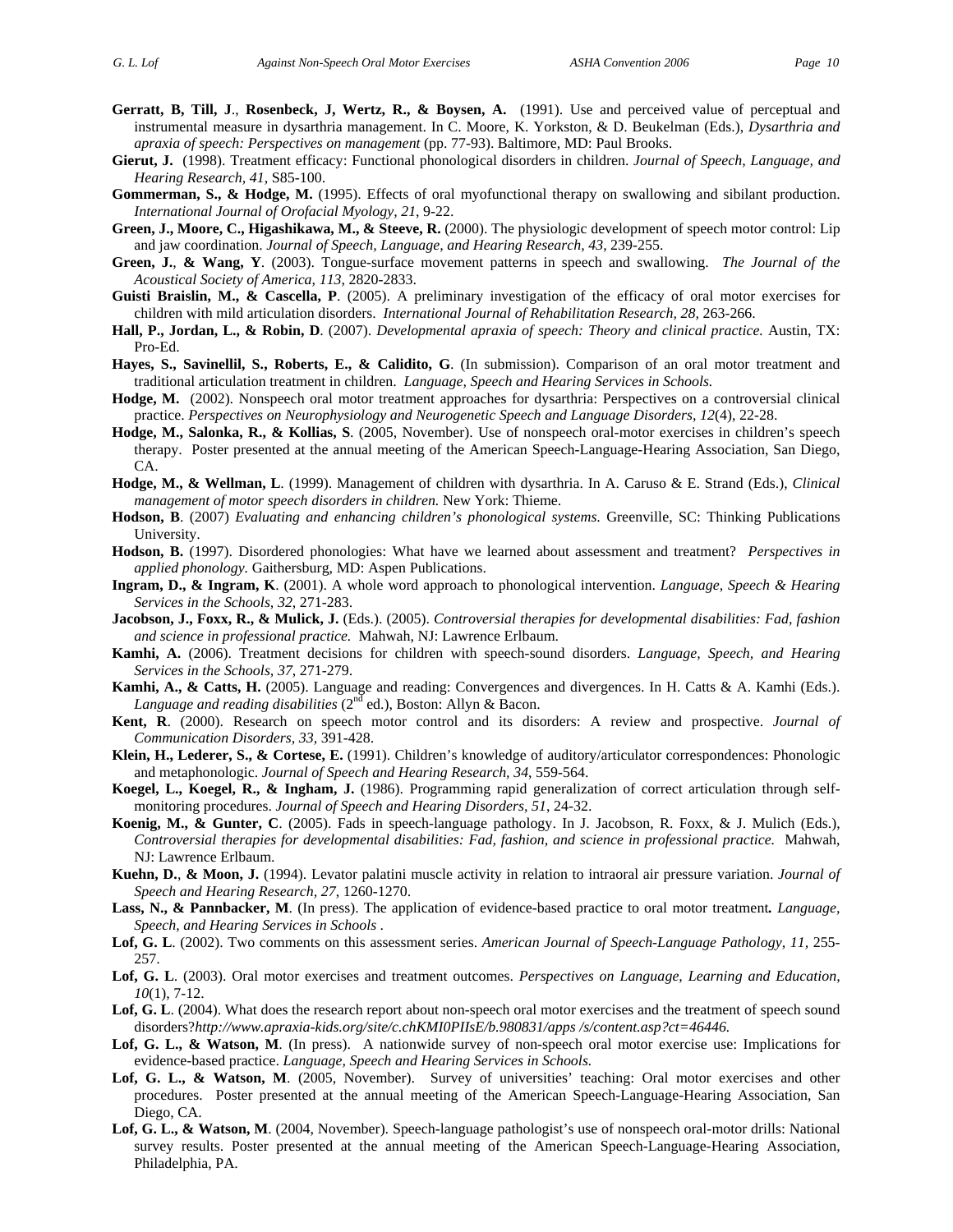- **Gerratt, B, Till, J**., **Rosenbeck, J, Wertz, R., & Boysen, A.** (1991). Use and perceived value of perceptual and instrumental measure in dysarthria management. In C. Moore, K. Yorkston, & D. Beukelman (Eds.), *Dysarthria and apraxia of speech: Perspectives on management* (pp. 77-93). Baltimore, MD: Paul Brooks.
- **Gierut, J.** (1998). Treatment efficacy: Functional phonological disorders in children. *Journal of Speech, Language, and Hearing Research, 41*, S85-100.
- **Gommerman, S., & Hodge, M.** (1995). Effects of oral myofunctional therapy on swallowing and sibilant production. *International Journal of Orofacial Myology, 21*, 9-22.
- **Green, J., Moore, C., Higashikawa, M., & Steeve, R.** (2000). The physiologic development of speech motor control: Lip and jaw coordination. *Journal of Speech, Language, and Hearing Research, 43, 239-255.*
- **Green, J.**, **& Wang, Y**. (2003). Tongue-surface movement patterns in speech and swallowing. *The Journal of the Acoustical Society of America, 113*, 2820-2833.
- **Guisti Braislin, M., & Cascella, P**. (2005). A preliminary investigation of the efficacy of oral motor exercises for children with mild articulation disorders. *International Journal of Rehabilitation Research, 28,* 263-266.
- **Hall, P., Jordan, L., & Robin, D**. (2007). *Developmental apraxia of speech: Theory and clinical practice.* Austin, TX: Pro-Ed.
- **Hayes, S., Savinellil, S., Roberts, E., & Calidito, G**. (In submission). Comparison of an oral motor treatment and traditional articulation treatment in children. *Language, Speech and Hearing Services in Schools.*
- **Hodge, M.** (2002). Nonspeech oral motor treatment approaches for dysarthria: Perspectives on a controversial clinical practice. *Perspectives on Neurophysiology and Neurogenetic Speech and Language Disorders, 12*(4), 22-28.
- **Hodge, M., Salonka, R., & Kollias, S**. (2005, November). Use of nonspeech oral-motor exercises in children's speech therapy. Poster presented at the annual meeting of the American Speech-Language-Hearing Association, San Diego, CA.
- **Hodge, M., & Wellman, L**. (1999). Management of children with dysarthria. In A. Caruso & E. Strand (Eds.), *Clinical management of motor speech disorders in children.* New York: Thieme.
- **Hodson, B**. (2007) *Evaluating and enhancing children's phonological systems*. Greenville, SC: Thinking Publications University.
- **Hodson, B.** (1997). Disordered phonologies: What have we learned about assessment and treatment? *Perspectives in applied phonology.* Gaithersburg, MD: Aspen Publications.
- **Ingram, D., & Ingram, K**. (2001). A whole word approach to phonological intervention. *Language, Speech & Hearing Services in the Schools, 32*, 271-283.
- **Jacobson, J., Foxx, R., & Mulick, J.** (Eds.). (2005). *Controversial therapies for developmental disabilities: Fad, fashion and science in professional practice.* Mahwah, NJ: Lawrence Erlbaum.
- **Kamhi, A.** (2006). Treatment decisions for children with speech-sound disorders. *Language, Speech, and Hearing Services in the Schools, 37*, 271-279.
- **Kamhi, A., & Catts, H.** (2005). Language and reading: Convergences and divergences. In H. Catts & A. Kamhi (Eds.). Language and reading disabilities (2<sup>nd</sup> ed.), Boston: Allyn & Bacon.
- **Kent, R**. (2000). Research on speech motor control and its disorders: A review and prospective. *Journal of Communication Disorders, 33,* 391-428.
- **Klein, H., Lederer, S., & Cortese, E.** (1991). Children's knowledge of auditory/articulator correspondences: Phonologic and metaphonologic. *Journal of Speech and Hearing Research, 34*, 559-564.
- **Koegel, L., Koegel, R., & Ingham, J.** (1986). Programming rapid generalization of correct articulation through selfmonitoring procedures. *Journal of Speech and Hearing Disorders, 51*, 24-32.
- **Koenig, M., & Gunter, C**. (2005). Fads in speech-language pathology. In J. Jacobson, R. Foxx, & J. Mulich (Eds.), *Controversial therapies for developmental disabilities: Fad, fashion, and science in professional practice.* Mahwah, NJ: Lawrence Erlbaum.
- **Kuehn, D.**, **& Moon, J.** (1994). Levator palatini muscle activity in relation to intraoral air pressure variation. *Journal of Speech and Hearing Research, 27*, 1260-1270.
- **Lass, N., & Pannbacker, M**. (In press). The application of evidence-based practice to oral motor treatment*. Language, Speech, and Hearing Services in Schools* .
- **Lof, G. L**. (2002). Two comments on this assessment series. *American Journal of Speech-Language Pathology, 11,* 255- 257.
- **Lof, G. L**. (2003). Oral motor exercises and treatment outcomes. *Perspectives on Language, Learning and Education, 10*(1), 7-12.
- **Lof, G. L**. (2004). What does the research report about non-speech oral motor exercises and the treatment of speech sound disorders?*http://www.apraxia-kids.org/site/c.chKMI0PIIsE/b.980831/apps /s/content.asp?ct=46446.*
- Lof, G. L., & Watson, M. (In press). A nationwide survey of non-speech oral motor exercise use: Implications for evidence-based practice. *Language, Speech and Hearing Services in Schools.*
- Lof, G. L., & Watson, M. (2005, November). Survey of universities' teaching: Oral motor exercises and other procedures. Poster presented at the annual meeting of the American Speech-Language-Hearing Association, San Diego, CA.
- **Lof, G. L., & Watson, M**. (2004, November). Speech-language pathologist's use of nonspeech oral-motor drills: National survey results. Poster presented at the annual meeting of the American Speech-Language-Hearing Association, Philadelphia, PA.